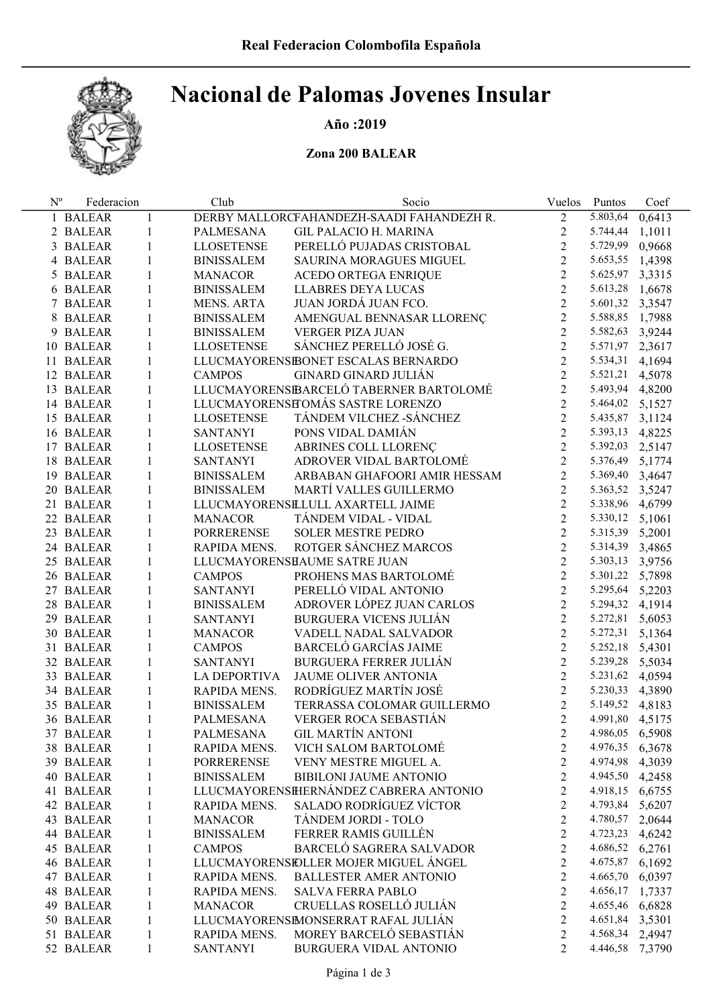# Nacional de Palomas Jovenes Insular

## Año :2019

## Zona 200 BALEAR

| $\overline{2}$<br>5.803,64<br>$\mathbf{1}$<br>DERBY MALLORCFAHANDEZH-SAADI FAHANDEZH R.<br>0,6413<br>1 BALEAR<br>$\overline{2}$<br>$\mathbf{1}$<br>5.744,44 1,1011<br>2 BALEAR<br>PALMESANA<br>GIL PALACIO H. MARINA<br>$\overline{2}$<br>PERELLÓ PUJADAS CRISTOBAL<br>5.729,99 0,9668<br>3 BALEAR<br>$\mathbf{1}$<br><b>LLOSETENSE</b><br>$\overline{2}$<br>$\mathbf{1}$<br>5.653,55 1,4398<br>4 BALEAR<br><b>BINISSALEM</b><br>SAURINA MORAGUES MIGUEL<br>$\overline{2}$<br>$\mathbf{1}$<br>5.625,97 3,3315<br>5 BALEAR<br><b>MANACOR</b><br><b>ACEDO ORTEGA ENRIQUE</b><br>$\overline{2}$<br>$\mathbf{1}$<br><b>LLABRES DEYA LUCAS</b><br>5.613,28 1,6678<br>6 BALEAR<br><b>BINISSALEM</b><br>$\overline{2}$<br>$\mathbf{1}$<br>JUAN JORDÁ JUAN FCO.<br>5.601,32 3,3547<br>7 BALEAR<br>MENS. ARTA<br>$\overline{2}$<br>$\mathbf{1}$<br>AMENGUAL BENNASAR LLORENÇ<br>5.588,85 1,7988<br>8 BALEAR<br><b>BINISSALEM</b><br>$\overline{2}$<br>$\mathbf{1}$<br>VERGER PIZA JUAN<br>5.582,63 3,9244<br>9 BALEAR<br><b>BINISSALEM</b><br>$\overline{2}$<br>$\mathbf{1}$<br>SÁNCHEZ PERELLÓ JOSÉ G.<br>5.571,97 2,3617<br>10 BALEAR<br><b>LLOSETENSE</b><br>$\overline{2}$<br>$\mathbf{1}$<br>LLUCMAYORENSIBONET ESCALAS BERNARDO<br>5.534,31<br>11 BALEAR<br>4,1694<br>$\overline{2}$<br>$\mathbf{1}$<br><b>GINARD GINARD JULIÁN</b><br>5.521,21<br>12 BALEAR<br><b>CAMPOS</b><br>4,5078<br>$\overline{2}$<br>$\mathbf{1}$<br>LLUCMAYORENSEBARCELÓ TABERNER BARTOLOMÉ<br>13 BALEAR<br>5.493,94 4,8200<br>$\overline{2}$<br>$\mathbf{1}$<br>LLUCMAYORENSETOMÁS SASTRE LORENZO<br>14 BALEAR<br>5.464,02 5,1527<br>$\overline{2}$<br>$\mathbf{1}$<br>TÁNDEM VILCHEZ - SÁNCHEZ<br><b>LLOSETENSE</b><br>15 BALEAR<br>5.435,87 3,1124<br>$\overline{2}$<br>$\mathbf{1}$<br><b>SANTANYI</b><br>PONS VIDAL DAMIÁN<br>16 BALEAR<br>5.393,13 4,8225<br>$\overline{2}$<br>$\mathbf{1}$<br>LLOSETENSE<br>ABRINES COLL LLORENÇ<br>17 BALEAR<br>5.392,03 2,5147<br>$\overline{2}$<br>$\mathbf{1}$<br><b>SANTANYI</b><br>ADROVER VIDAL BARTOLOMÉ<br>5.376,49 5,1774<br>18 BALEAR<br>$\overline{2}$<br>$\mathbf{1}$<br><b>BINISSALEM</b><br>ARBABAN GHAFOORI AMIR HESSAM<br>5.369,40 3,4647<br>19 BALEAR<br>$\overline{2}$<br>$\mathbf{1}$<br>MARTÍ VALLES GUILLERMO<br><b>BINISSALEM</b><br>5.363,52 3,5247<br>20 BALEAR<br>$\overline{2}$<br>$\mathbf{1}$<br>LLUCMAYORENSELULL AXARTELL JAIME<br>21 BALEAR<br>5.338,96 4,6799<br>$\overline{2}$<br>$\mathbf{1}$<br>TÁNDEM VIDAL - VIDAL<br>22 BALEAR<br><b>MANACOR</b><br>5.330,12 5,1061<br>$\overline{2}$<br>$\mathbf{1}$<br>PORRERENSE<br><b>SOLER MESTRE PEDRO</b><br>23 BALEAR<br>5.315,39 5,2001<br>$\overline{2}$<br>$\mathbf{1}$<br>ROTGER SÁNCHEZ MARCOS<br>24 BALEAR<br>RAPIDA MENS.<br>5.314,39 3,4865<br>$\overline{2}$<br>$\mathbf{1}$<br>LLUCMAYORENSHAUME SATRE JUAN<br>25 BALEAR<br>5.303,13 3,9756<br>$\overline{2}$<br>$\mathbf{1}$<br>PROHENS MAS BARTOLOMÉ<br>26 BALEAR<br><b>CAMPOS</b><br>5.301,22 5,7898<br>$\overline{2}$<br>$\mathbf{1}$<br>PERELLÓ VIDAL ANTONIO<br>SANTANYI<br>5.295,64 5,2203<br>27 BALEAR<br>$\overline{2}$<br>$\mathbf{1}$<br>ADROVER LÓPEZ JUAN CARLOS<br>5.294,32 4,1914<br>28 BALEAR<br><b>BINISSALEM</b><br>$\overline{2}$<br>$\mathbf{1}$<br><b>BURGUERA VICENS JULIÁN</b><br>29 BALEAR<br>SANTANYI<br>5.272,81 5,6053<br>$\overline{2}$<br>$\mathbf{1}$<br>VADELL NADAL SALVADOR<br>30 BALEAR<br><b>MANACOR</b><br>5.272,31 5,1364<br>$\overline{2}$<br>$\mathbf{1}$<br><b>BARCELÓ GARCÍAS JAIME</b><br>31 BALEAR<br><b>CAMPOS</b><br>5.252,18 5,4301<br>$\overline{2}$<br>$\mathbf{1}$<br><b>BURGUERA FERRER JULIÁN</b><br>32 BALEAR<br><b>SANTANYI</b><br>5.239,28 5,5034<br>$\overline{2}$<br>$\mathbf{1}$<br>JAUME OLIVER ANTONIA<br>33 BALEAR<br>LA DEPORTIVA<br>5.231,62 4,0594<br>$\overline{2}$<br>RODRÍGUEZ MARTÍN JOSÉ<br>$\mathbf{1}$<br>34 BALEAR<br>RAPIDA MENS.<br>5.230,33 4,3890<br>$\overline{2}$<br>$\mathbf{1}$<br>TERRASSA COLOMAR GUILLERMO<br>35 BALEAR<br><b>BINISSALEM</b><br>5.149,52 4,8183<br>$\overline{2}$<br>$\mathbf{1}$<br>VERGER ROCA SEBASTIÁN<br>4.991,80 4,5175<br>36 BALEAR<br>PALMESANA<br>37 BALEAR<br><b>PALMESANA</b><br><b>GIL MARTÍN ANTONI</b><br>$\overline{c}$<br>4.986,05 6,5908<br>38 BALEAR<br>RAPIDA MENS.<br>VICH SALOM BARTOLOMÉ<br>$\overline{c}$<br>4.976,35 6,3678<br>1<br>VENY MESTRE MIGUEL A.<br>$\overline{c}$<br>39 BALEAR<br><b>PORRERENSE</b><br>4.974,98<br>4,3039<br>1<br>$\overline{2}$<br><b>BINISSALEM</b><br>BIBILONI JAUME ANTONIO<br>4.945,50 4,2458<br>40 BALEAR<br>1<br>LLUCMAYORENSHERNÁNDEZ CABRERA ANTONIO<br>$\overline{2}$<br>41 BALEAR<br>4.918,15 6,6755<br>1<br>SALADO RODRÍGUEZ VÍCTOR<br>$\overline{2}$<br>42 BALEAR<br>RAPIDA MENS.<br>4.793,84<br>5,6207<br>1<br>TÁNDEM JORDI - TOLO<br>$\overline{2}$<br>43 BALEAR<br><b>MANACOR</b><br>4.780,57<br>2,0644<br>1<br>FERRER RAMIS GUILLÉN<br>$\overline{2}$<br>44 BALEAR<br><b>BINISSALEM</b><br>4.723,23<br>4,6242<br>1<br>BARCELÓ SAGRERA SALVADOR<br>$\overline{2}$<br>45 BALEAR<br><b>CAMPOS</b><br>4.686,52 6,2761<br>1<br>LLUCMAYORENSIDLLER MOJER MIGUEL ÁNGEL<br>$\overline{2}$<br>46 BALEAR<br>4.675,87<br>6,1692<br>1<br>$\overline{2}$<br>47 BALEAR<br>RAPIDA MENS.<br><b>BALLESTER AMER ANTONIO</b><br>4.665,70 6,0397<br>1<br><b>SALVA FERRA PABLO</b><br>2<br>4.656,17<br>1,7337<br>48 BALEAR<br>RAPIDA MENS.<br>1<br>CRUELLAS ROSELLÓ JULIÁN<br>$\overline{2}$<br>4.655,46 6,6828<br>49 BALEAR<br><b>MANACOR</b><br>1<br>$\overline{2}$<br>LLUCMAYORENSIMONSERRAT RAFAL JULIÁN<br>4.651,84<br>3,5301<br>50 BALEAR<br>1<br>MOREY BARCELÓ SEBASTIÁN<br>2<br>4.568,34<br>2,4947<br>51 BALEAR<br>RAPIDA MENS.<br>1 | $N^{\rm o}$ | Federacion | Club            | Socio                  | Vuelos         | Puntos   | Coef   |
|----------------------------------------------------------------------------------------------------------------------------------------------------------------------------------------------------------------------------------------------------------------------------------------------------------------------------------------------------------------------------------------------------------------------------------------------------------------------------------------------------------------------------------------------------------------------------------------------------------------------------------------------------------------------------------------------------------------------------------------------------------------------------------------------------------------------------------------------------------------------------------------------------------------------------------------------------------------------------------------------------------------------------------------------------------------------------------------------------------------------------------------------------------------------------------------------------------------------------------------------------------------------------------------------------------------------------------------------------------------------------------------------------------------------------------------------------------------------------------------------------------------------------------------------------------------------------------------------------------------------------------------------------------------------------------------------------------------------------------------------------------------------------------------------------------------------------------------------------------------------------------------------------------------------------------------------------------------------------------------------------------------------------------------------------------------------------------------------------------------------------------------------------------------------------------------------------------------------------------------------------------------------------------------------------------------------------------------------------------------------------------------------------------------------------------------------------------------------------------------------------------------------------------------------------------------------------------------------------------------------------------------------------------------------------------------------------------------------------------------------------------------------------------------------------------------------------------------------------------------------------------------------------------------------------------------------------------------------------------------------------------------------------------------------------------------------------------------------------------------------------------------------------------------------------------------------------------------------------------------------------------------------------------------------------------------------------------------------------------------------------------------------------------------------------------------------------------------------------------------------------------------------------------------------------------------------------------------------------------------------------------------------------------------------------------------------------------------------------------------------------------------------------------------------------------------------------------------------------------------------------------------------------------------------------------------------------------------------------------------------------------------------------------------------------------------------------------------------------------------------------------------------------------------------------------------------------------------------------------------------------------------------------------------------------------------------------------------------------------------------------------------------------------------------------------------------------------------------------------------------------------------------------------------------------------------------------------------------------------------------------------------------------------------------------------------------------------------------------------------------------------------------------------------------------------------------------------------------------------------------------------------------------------------------------------------------------------------------------------------------------------------------------------------------------------------------------------------------------------------------------------------------------------------------------------------------------------------------------------------------------------------------------------------------------------------------------------------------------------------------------------------------------------------------------------------------------------------------------------------------------------------------------------------------------------------------------------------------------------------------------------------------------|-------------|------------|-----------------|------------------------|----------------|----------|--------|
|                                                                                                                                                                                                                                                                                                                                                                                                                                                                                                                                                                                                                                                                                                                                                                                                                                                                                                                                                                                                                                                                                                                                                                                                                                                                                                                                                                                                                                                                                                                                                                                                                                                                                                                                                                                                                                                                                                                                                                                                                                                                                                                                                                                                                                                                                                                                                                                                                                                                                                                                                                                                                                                                                                                                                                                                                                                                                                                                                                                                                                                                                                                                                                                                                                                                                                                                                                                                                                                                                                                                                                                                                                                                                                                                                                                                                                                                                                                                                                                                                                                                                                                                                                                                                                                                                                                                                                                                                                                                                                                                                                                                                                                                                                                                                                                                                                                                                                                                                                                                                                                                                                                                                                                                                                                                                                                                                                                                                                                                                                                                                                                                                                                    |             |            |                 |                        |                |          |        |
|                                                                                                                                                                                                                                                                                                                                                                                                                                                                                                                                                                                                                                                                                                                                                                                                                                                                                                                                                                                                                                                                                                                                                                                                                                                                                                                                                                                                                                                                                                                                                                                                                                                                                                                                                                                                                                                                                                                                                                                                                                                                                                                                                                                                                                                                                                                                                                                                                                                                                                                                                                                                                                                                                                                                                                                                                                                                                                                                                                                                                                                                                                                                                                                                                                                                                                                                                                                                                                                                                                                                                                                                                                                                                                                                                                                                                                                                                                                                                                                                                                                                                                                                                                                                                                                                                                                                                                                                                                                                                                                                                                                                                                                                                                                                                                                                                                                                                                                                                                                                                                                                                                                                                                                                                                                                                                                                                                                                                                                                                                                                                                                                                                                    |             |            |                 |                        |                |          |        |
|                                                                                                                                                                                                                                                                                                                                                                                                                                                                                                                                                                                                                                                                                                                                                                                                                                                                                                                                                                                                                                                                                                                                                                                                                                                                                                                                                                                                                                                                                                                                                                                                                                                                                                                                                                                                                                                                                                                                                                                                                                                                                                                                                                                                                                                                                                                                                                                                                                                                                                                                                                                                                                                                                                                                                                                                                                                                                                                                                                                                                                                                                                                                                                                                                                                                                                                                                                                                                                                                                                                                                                                                                                                                                                                                                                                                                                                                                                                                                                                                                                                                                                                                                                                                                                                                                                                                                                                                                                                                                                                                                                                                                                                                                                                                                                                                                                                                                                                                                                                                                                                                                                                                                                                                                                                                                                                                                                                                                                                                                                                                                                                                                                                    |             |            |                 |                        |                |          |        |
|                                                                                                                                                                                                                                                                                                                                                                                                                                                                                                                                                                                                                                                                                                                                                                                                                                                                                                                                                                                                                                                                                                                                                                                                                                                                                                                                                                                                                                                                                                                                                                                                                                                                                                                                                                                                                                                                                                                                                                                                                                                                                                                                                                                                                                                                                                                                                                                                                                                                                                                                                                                                                                                                                                                                                                                                                                                                                                                                                                                                                                                                                                                                                                                                                                                                                                                                                                                                                                                                                                                                                                                                                                                                                                                                                                                                                                                                                                                                                                                                                                                                                                                                                                                                                                                                                                                                                                                                                                                                                                                                                                                                                                                                                                                                                                                                                                                                                                                                                                                                                                                                                                                                                                                                                                                                                                                                                                                                                                                                                                                                                                                                                                                    |             |            |                 |                        |                |          |        |
|                                                                                                                                                                                                                                                                                                                                                                                                                                                                                                                                                                                                                                                                                                                                                                                                                                                                                                                                                                                                                                                                                                                                                                                                                                                                                                                                                                                                                                                                                                                                                                                                                                                                                                                                                                                                                                                                                                                                                                                                                                                                                                                                                                                                                                                                                                                                                                                                                                                                                                                                                                                                                                                                                                                                                                                                                                                                                                                                                                                                                                                                                                                                                                                                                                                                                                                                                                                                                                                                                                                                                                                                                                                                                                                                                                                                                                                                                                                                                                                                                                                                                                                                                                                                                                                                                                                                                                                                                                                                                                                                                                                                                                                                                                                                                                                                                                                                                                                                                                                                                                                                                                                                                                                                                                                                                                                                                                                                                                                                                                                                                                                                                                                    |             |            |                 |                        |                |          |        |
|                                                                                                                                                                                                                                                                                                                                                                                                                                                                                                                                                                                                                                                                                                                                                                                                                                                                                                                                                                                                                                                                                                                                                                                                                                                                                                                                                                                                                                                                                                                                                                                                                                                                                                                                                                                                                                                                                                                                                                                                                                                                                                                                                                                                                                                                                                                                                                                                                                                                                                                                                                                                                                                                                                                                                                                                                                                                                                                                                                                                                                                                                                                                                                                                                                                                                                                                                                                                                                                                                                                                                                                                                                                                                                                                                                                                                                                                                                                                                                                                                                                                                                                                                                                                                                                                                                                                                                                                                                                                                                                                                                                                                                                                                                                                                                                                                                                                                                                                                                                                                                                                                                                                                                                                                                                                                                                                                                                                                                                                                                                                                                                                                                                    |             |            |                 |                        |                |          |        |
|                                                                                                                                                                                                                                                                                                                                                                                                                                                                                                                                                                                                                                                                                                                                                                                                                                                                                                                                                                                                                                                                                                                                                                                                                                                                                                                                                                                                                                                                                                                                                                                                                                                                                                                                                                                                                                                                                                                                                                                                                                                                                                                                                                                                                                                                                                                                                                                                                                                                                                                                                                                                                                                                                                                                                                                                                                                                                                                                                                                                                                                                                                                                                                                                                                                                                                                                                                                                                                                                                                                                                                                                                                                                                                                                                                                                                                                                                                                                                                                                                                                                                                                                                                                                                                                                                                                                                                                                                                                                                                                                                                                                                                                                                                                                                                                                                                                                                                                                                                                                                                                                                                                                                                                                                                                                                                                                                                                                                                                                                                                                                                                                                                                    |             |            |                 |                        |                |          |        |
|                                                                                                                                                                                                                                                                                                                                                                                                                                                                                                                                                                                                                                                                                                                                                                                                                                                                                                                                                                                                                                                                                                                                                                                                                                                                                                                                                                                                                                                                                                                                                                                                                                                                                                                                                                                                                                                                                                                                                                                                                                                                                                                                                                                                                                                                                                                                                                                                                                                                                                                                                                                                                                                                                                                                                                                                                                                                                                                                                                                                                                                                                                                                                                                                                                                                                                                                                                                                                                                                                                                                                                                                                                                                                                                                                                                                                                                                                                                                                                                                                                                                                                                                                                                                                                                                                                                                                                                                                                                                                                                                                                                                                                                                                                                                                                                                                                                                                                                                                                                                                                                                                                                                                                                                                                                                                                                                                                                                                                                                                                                                                                                                                                                    |             |            |                 |                        |                |          |        |
|                                                                                                                                                                                                                                                                                                                                                                                                                                                                                                                                                                                                                                                                                                                                                                                                                                                                                                                                                                                                                                                                                                                                                                                                                                                                                                                                                                                                                                                                                                                                                                                                                                                                                                                                                                                                                                                                                                                                                                                                                                                                                                                                                                                                                                                                                                                                                                                                                                                                                                                                                                                                                                                                                                                                                                                                                                                                                                                                                                                                                                                                                                                                                                                                                                                                                                                                                                                                                                                                                                                                                                                                                                                                                                                                                                                                                                                                                                                                                                                                                                                                                                                                                                                                                                                                                                                                                                                                                                                                                                                                                                                                                                                                                                                                                                                                                                                                                                                                                                                                                                                                                                                                                                                                                                                                                                                                                                                                                                                                                                                                                                                                                                                    |             |            |                 |                        |                |          |        |
|                                                                                                                                                                                                                                                                                                                                                                                                                                                                                                                                                                                                                                                                                                                                                                                                                                                                                                                                                                                                                                                                                                                                                                                                                                                                                                                                                                                                                                                                                                                                                                                                                                                                                                                                                                                                                                                                                                                                                                                                                                                                                                                                                                                                                                                                                                                                                                                                                                                                                                                                                                                                                                                                                                                                                                                                                                                                                                                                                                                                                                                                                                                                                                                                                                                                                                                                                                                                                                                                                                                                                                                                                                                                                                                                                                                                                                                                                                                                                                                                                                                                                                                                                                                                                                                                                                                                                                                                                                                                                                                                                                                                                                                                                                                                                                                                                                                                                                                                                                                                                                                                                                                                                                                                                                                                                                                                                                                                                                                                                                                                                                                                                                                    |             |            |                 |                        |                |          |        |
|                                                                                                                                                                                                                                                                                                                                                                                                                                                                                                                                                                                                                                                                                                                                                                                                                                                                                                                                                                                                                                                                                                                                                                                                                                                                                                                                                                                                                                                                                                                                                                                                                                                                                                                                                                                                                                                                                                                                                                                                                                                                                                                                                                                                                                                                                                                                                                                                                                                                                                                                                                                                                                                                                                                                                                                                                                                                                                                                                                                                                                                                                                                                                                                                                                                                                                                                                                                                                                                                                                                                                                                                                                                                                                                                                                                                                                                                                                                                                                                                                                                                                                                                                                                                                                                                                                                                                                                                                                                                                                                                                                                                                                                                                                                                                                                                                                                                                                                                                                                                                                                                                                                                                                                                                                                                                                                                                                                                                                                                                                                                                                                                                                                    |             |            |                 |                        |                |          |        |
|                                                                                                                                                                                                                                                                                                                                                                                                                                                                                                                                                                                                                                                                                                                                                                                                                                                                                                                                                                                                                                                                                                                                                                                                                                                                                                                                                                                                                                                                                                                                                                                                                                                                                                                                                                                                                                                                                                                                                                                                                                                                                                                                                                                                                                                                                                                                                                                                                                                                                                                                                                                                                                                                                                                                                                                                                                                                                                                                                                                                                                                                                                                                                                                                                                                                                                                                                                                                                                                                                                                                                                                                                                                                                                                                                                                                                                                                                                                                                                                                                                                                                                                                                                                                                                                                                                                                                                                                                                                                                                                                                                                                                                                                                                                                                                                                                                                                                                                                                                                                                                                                                                                                                                                                                                                                                                                                                                                                                                                                                                                                                                                                                                                    |             |            |                 |                        |                |          |        |
|                                                                                                                                                                                                                                                                                                                                                                                                                                                                                                                                                                                                                                                                                                                                                                                                                                                                                                                                                                                                                                                                                                                                                                                                                                                                                                                                                                                                                                                                                                                                                                                                                                                                                                                                                                                                                                                                                                                                                                                                                                                                                                                                                                                                                                                                                                                                                                                                                                                                                                                                                                                                                                                                                                                                                                                                                                                                                                                                                                                                                                                                                                                                                                                                                                                                                                                                                                                                                                                                                                                                                                                                                                                                                                                                                                                                                                                                                                                                                                                                                                                                                                                                                                                                                                                                                                                                                                                                                                                                                                                                                                                                                                                                                                                                                                                                                                                                                                                                                                                                                                                                                                                                                                                                                                                                                                                                                                                                                                                                                                                                                                                                                                                    |             |            |                 |                        |                |          |        |
|                                                                                                                                                                                                                                                                                                                                                                                                                                                                                                                                                                                                                                                                                                                                                                                                                                                                                                                                                                                                                                                                                                                                                                                                                                                                                                                                                                                                                                                                                                                                                                                                                                                                                                                                                                                                                                                                                                                                                                                                                                                                                                                                                                                                                                                                                                                                                                                                                                                                                                                                                                                                                                                                                                                                                                                                                                                                                                                                                                                                                                                                                                                                                                                                                                                                                                                                                                                                                                                                                                                                                                                                                                                                                                                                                                                                                                                                                                                                                                                                                                                                                                                                                                                                                                                                                                                                                                                                                                                                                                                                                                                                                                                                                                                                                                                                                                                                                                                                                                                                                                                                                                                                                                                                                                                                                                                                                                                                                                                                                                                                                                                                                                                    |             |            |                 |                        |                |          |        |
|                                                                                                                                                                                                                                                                                                                                                                                                                                                                                                                                                                                                                                                                                                                                                                                                                                                                                                                                                                                                                                                                                                                                                                                                                                                                                                                                                                                                                                                                                                                                                                                                                                                                                                                                                                                                                                                                                                                                                                                                                                                                                                                                                                                                                                                                                                                                                                                                                                                                                                                                                                                                                                                                                                                                                                                                                                                                                                                                                                                                                                                                                                                                                                                                                                                                                                                                                                                                                                                                                                                                                                                                                                                                                                                                                                                                                                                                                                                                                                                                                                                                                                                                                                                                                                                                                                                                                                                                                                                                                                                                                                                                                                                                                                                                                                                                                                                                                                                                                                                                                                                                                                                                                                                                                                                                                                                                                                                                                                                                                                                                                                                                                                                    |             |            |                 |                        |                |          |        |
|                                                                                                                                                                                                                                                                                                                                                                                                                                                                                                                                                                                                                                                                                                                                                                                                                                                                                                                                                                                                                                                                                                                                                                                                                                                                                                                                                                                                                                                                                                                                                                                                                                                                                                                                                                                                                                                                                                                                                                                                                                                                                                                                                                                                                                                                                                                                                                                                                                                                                                                                                                                                                                                                                                                                                                                                                                                                                                                                                                                                                                                                                                                                                                                                                                                                                                                                                                                                                                                                                                                                                                                                                                                                                                                                                                                                                                                                                                                                                                                                                                                                                                                                                                                                                                                                                                                                                                                                                                                                                                                                                                                                                                                                                                                                                                                                                                                                                                                                                                                                                                                                                                                                                                                                                                                                                                                                                                                                                                                                                                                                                                                                                                                    |             |            |                 |                        |                |          |        |
|                                                                                                                                                                                                                                                                                                                                                                                                                                                                                                                                                                                                                                                                                                                                                                                                                                                                                                                                                                                                                                                                                                                                                                                                                                                                                                                                                                                                                                                                                                                                                                                                                                                                                                                                                                                                                                                                                                                                                                                                                                                                                                                                                                                                                                                                                                                                                                                                                                                                                                                                                                                                                                                                                                                                                                                                                                                                                                                                                                                                                                                                                                                                                                                                                                                                                                                                                                                                                                                                                                                                                                                                                                                                                                                                                                                                                                                                                                                                                                                                                                                                                                                                                                                                                                                                                                                                                                                                                                                                                                                                                                                                                                                                                                                                                                                                                                                                                                                                                                                                                                                                                                                                                                                                                                                                                                                                                                                                                                                                                                                                                                                                                                                    |             |            |                 |                        |                |          |        |
|                                                                                                                                                                                                                                                                                                                                                                                                                                                                                                                                                                                                                                                                                                                                                                                                                                                                                                                                                                                                                                                                                                                                                                                                                                                                                                                                                                                                                                                                                                                                                                                                                                                                                                                                                                                                                                                                                                                                                                                                                                                                                                                                                                                                                                                                                                                                                                                                                                                                                                                                                                                                                                                                                                                                                                                                                                                                                                                                                                                                                                                                                                                                                                                                                                                                                                                                                                                                                                                                                                                                                                                                                                                                                                                                                                                                                                                                                                                                                                                                                                                                                                                                                                                                                                                                                                                                                                                                                                                                                                                                                                                                                                                                                                                                                                                                                                                                                                                                                                                                                                                                                                                                                                                                                                                                                                                                                                                                                                                                                                                                                                                                                                                    |             |            |                 |                        |                |          |        |
|                                                                                                                                                                                                                                                                                                                                                                                                                                                                                                                                                                                                                                                                                                                                                                                                                                                                                                                                                                                                                                                                                                                                                                                                                                                                                                                                                                                                                                                                                                                                                                                                                                                                                                                                                                                                                                                                                                                                                                                                                                                                                                                                                                                                                                                                                                                                                                                                                                                                                                                                                                                                                                                                                                                                                                                                                                                                                                                                                                                                                                                                                                                                                                                                                                                                                                                                                                                                                                                                                                                                                                                                                                                                                                                                                                                                                                                                                                                                                                                                                                                                                                                                                                                                                                                                                                                                                                                                                                                                                                                                                                                                                                                                                                                                                                                                                                                                                                                                                                                                                                                                                                                                                                                                                                                                                                                                                                                                                                                                                                                                                                                                                                                    |             |            |                 |                        |                |          |        |
|                                                                                                                                                                                                                                                                                                                                                                                                                                                                                                                                                                                                                                                                                                                                                                                                                                                                                                                                                                                                                                                                                                                                                                                                                                                                                                                                                                                                                                                                                                                                                                                                                                                                                                                                                                                                                                                                                                                                                                                                                                                                                                                                                                                                                                                                                                                                                                                                                                                                                                                                                                                                                                                                                                                                                                                                                                                                                                                                                                                                                                                                                                                                                                                                                                                                                                                                                                                                                                                                                                                                                                                                                                                                                                                                                                                                                                                                                                                                                                                                                                                                                                                                                                                                                                                                                                                                                                                                                                                                                                                                                                                                                                                                                                                                                                                                                                                                                                                                                                                                                                                                                                                                                                                                                                                                                                                                                                                                                                                                                                                                                                                                                                                    |             |            |                 |                        |                |          |        |
|                                                                                                                                                                                                                                                                                                                                                                                                                                                                                                                                                                                                                                                                                                                                                                                                                                                                                                                                                                                                                                                                                                                                                                                                                                                                                                                                                                                                                                                                                                                                                                                                                                                                                                                                                                                                                                                                                                                                                                                                                                                                                                                                                                                                                                                                                                                                                                                                                                                                                                                                                                                                                                                                                                                                                                                                                                                                                                                                                                                                                                                                                                                                                                                                                                                                                                                                                                                                                                                                                                                                                                                                                                                                                                                                                                                                                                                                                                                                                                                                                                                                                                                                                                                                                                                                                                                                                                                                                                                                                                                                                                                                                                                                                                                                                                                                                                                                                                                                                                                                                                                                                                                                                                                                                                                                                                                                                                                                                                                                                                                                                                                                                                                    |             |            |                 |                        |                |          |        |
|                                                                                                                                                                                                                                                                                                                                                                                                                                                                                                                                                                                                                                                                                                                                                                                                                                                                                                                                                                                                                                                                                                                                                                                                                                                                                                                                                                                                                                                                                                                                                                                                                                                                                                                                                                                                                                                                                                                                                                                                                                                                                                                                                                                                                                                                                                                                                                                                                                                                                                                                                                                                                                                                                                                                                                                                                                                                                                                                                                                                                                                                                                                                                                                                                                                                                                                                                                                                                                                                                                                                                                                                                                                                                                                                                                                                                                                                                                                                                                                                                                                                                                                                                                                                                                                                                                                                                                                                                                                                                                                                                                                                                                                                                                                                                                                                                                                                                                                                                                                                                                                                                                                                                                                                                                                                                                                                                                                                                                                                                                                                                                                                                                                    |             |            |                 |                        |                |          |        |
|                                                                                                                                                                                                                                                                                                                                                                                                                                                                                                                                                                                                                                                                                                                                                                                                                                                                                                                                                                                                                                                                                                                                                                                                                                                                                                                                                                                                                                                                                                                                                                                                                                                                                                                                                                                                                                                                                                                                                                                                                                                                                                                                                                                                                                                                                                                                                                                                                                                                                                                                                                                                                                                                                                                                                                                                                                                                                                                                                                                                                                                                                                                                                                                                                                                                                                                                                                                                                                                                                                                                                                                                                                                                                                                                                                                                                                                                                                                                                                                                                                                                                                                                                                                                                                                                                                                                                                                                                                                                                                                                                                                                                                                                                                                                                                                                                                                                                                                                                                                                                                                                                                                                                                                                                                                                                                                                                                                                                                                                                                                                                                                                                                                    |             |            |                 |                        |                |          |        |
|                                                                                                                                                                                                                                                                                                                                                                                                                                                                                                                                                                                                                                                                                                                                                                                                                                                                                                                                                                                                                                                                                                                                                                                                                                                                                                                                                                                                                                                                                                                                                                                                                                                                                                                                                                                                                                                                                                                                                                                                                                                                                                                                                                                                                                                                                                                                                                                                                                                                                                                                                                                                                                                                                                                                                                                                                                                                                                                                                                                                                                                                                                                                                                                                                                                                                                                                                                                                                                                                                                                                                                                                                                                                                                                                                                                                                                                                                                                                                                                                                                                                                                                                                                                                                                                                                                                                                                                                                                                                                                                                                                                                                                                                                                                                                                                                                                                                                                                                                                                                                                                                                                                                                                                                                                                                                                                                                                                                                                                                                                                                                                                                                                                    |             |            |                 |                        |                |          |        |
|                                                                                                                                                                                                                                                                                                                                                                                                                                                                                                                                                                                                                                                                                                                                                                                                                                                                                                                                                                                                                                                                                                                                                                                                                                                                                                                                                                                                                                                                                                                                                                                                                                                                                                                                                                                                                                                                                                                                                                                                                                                                                                                                                                                                                                                                                                                                                                                                                                                                                                                                                                                                                                                                                                                                                                                                                                                                                                                                                                                                                                                                                                                                                                                                                                                                                                                                                                                                                                                                                                                                                                                                                                                                                                                                                                                                                                                                                                                                                                                                                                                                                                                                                                                                                                                                                                                                                                                                                                                                                                                                                                                                                                                                                                                                                                                                                                                                                                                                                                                                                                                                                                                                                                                                                                                                                                                                                                                                                                                                                                                                                                                                                                                    |             |            |                 |                        |                |          |        |
|                                                                                                                                                                                                                                                                                                                                                                                                                                                                                                                                                                                                                                                                                                                                                                                                                                                                                                                                                                                                                                                                                                                                                                                                                                                                                                                                                                                                                                                                                                                                                                                                                                                                                                                                                                                                                                                                                                                                                                                                                                                                                                                                                                                                                                                                                                                                                                                                                                                                                                                                                                                                                                                                                                                                                                                                                                                                                                                                                                                                                                                                                                                                                                                                                                                                                                                                                                                                                                                                                                                                                                                                                                                                                                                                                                                                                                                                                                                                                                                                                                                                                                                                                                                                                                                                                                                                                                                                                                                                                                                                                                                                                                                                                                                                                                                                                                                                                                                                                                                                                                                                                                                                                                                                                                                                                                                                                                                                                                                                                                                                                                                                                                                    |             |            |                 |                        |                |          |        |
|                                                                                                                                                                                                                                                                                                                                                                                                                                                                                                                                                                                                                                                                                                                                                                                                                                                                                                                                                                                                                                                                                                                                                                                                                                                                                                                                                                                                                                                                                                                                                                                                                                                                                                                                                                                                                                                                                                                                                                                                                                                                                                                                                                                                                                                                                                                                                                                                                                                                                                                                                                                                                                                                                                                                                                                                                                                                                                                                                                                                                                                                                                                                                                                                                                                                                                                                                                                                                                                                                                                                                                                                                                                                                                                                                                                                                                                                                                                                                                                                                                                                                                                                                                                                                                                                                                                                                                                                                                                                                                                                                                                                                                                                                                                                                                                                                                                                                                                                                                                                                                                                                                                                                                                                                                                                                                                                                                                                                                                                                                                                                                                                                                                    |             |            |                 |                        |                |          |        |
|                                                                                                                                                                                                                                                                                                                                                                                                                                                                                                                                                                                                                                                                                                                                                                                                                                                                                                                                                                                                                                                                                                                                                                                                                                                                                                                                                                                                                                                                                                                                                                                                                                                                                                                                                                                                                                                                                                                                                                                                                                                                                                                                                                                                                                                                                                                                                                                                                                                                                                                                                                                                                                                                                                                                                                                                                                                                                                                                                                                                                                                                                                                                                                                                                                                                                                                                                                                                                                                                                                                                                                                                                                                                                                                                                                                                                                                                                                                                                                                                                                                                                                                                                                                                                                                                                                                                                                                                                                                                                                                                                                                                                                                                                                                                                                                                                                                                                                                                                                                                                                                                                                                                                                                                                                                                                                                                                                                                                                                                                                                                                                                                                                                    |             |            |                 |                        |                |          |        |
|                                                                                                                                                                                                                                                                                                                                                                                                                                                                                                                                                                                                                                                                                                                                                                                                                                                                                                                                                                                                                                                                                                                                                                                                                                                                                                                                                                                                                                                                                                                                                                                                                                                                                                                                                                                                                                                                                                                                                                                                                                                                                                                                                                                                                                                                                                                                                                                                                                                                                                                                                                                                                                                                                                                                                                                                                                                                                                                                                                                                                                                                                                                                                                                                                                                                                                                                                                                                                                                                                                                                                                                                                                                                                                                                                                                                                                                                                                                                                                                                                                                                                                                                                                                                                                                                                                                                                                                                                                                                                                                                                                                                                                                                                                                                                                                                                                                                                                                                                                                                                                                                                                                                                                                                                                                                                                                                                                                                                                                                                                                                                                                                                                                    |             |            |                 |                        |                |          |        |
|                                                                                                                                                                                                                                                                                                                                                                                                                                                                                                                                                                                                                                                                                                                                                                                                                                                                                                                                                                                                                                                                                                                                                                                                                                                                                                                                                                                                                                                                                                                                                                                                                                                                                                                                                                                                                                                                                                                                                                                                                                                                                                                                                                                                                                                                                                                                                                                                                                                                                                                                                                                                                                                                                                                                                                                                                                                                                                                                                                                                                                                                                                                                                                                                                                                                                                                                                                                                                                                                                                                                                                                                                                                                                                                                                                                                                                                                                                                                                                                                                                                                                                                                                                                                                                                                                                                                                                                                                                                                                                                                                                                                                                                                                                                                                                                                                                                                                                                                                                                                                                                                                                                                                                                                                                                                                                                                                                                                                                                                                                                                                                                                                                                    |             |            |                 |                        |                |          |        |
|                                                                                                                                                                                                                                                                                                                                                                                                                                                                                                                                                                                                                                                                                                                                                                                                                                                                                                                                                                                                                                                                                                                                                                                                                                                                                                                                                                                                                                                                                                                                                                                                                                                                                                                                                                                                                                                                                                                                                                                                                                                                                                                                                                                                                                                                                                                                                                                                                                                                                                                                                                                                                                                                                                                                                                                                                                                                                                                                                                                                                                                                                                                                                                                                                                                                                                                                                                                                                                                                                                                                                                                                                                                                                                                                                                                                                                                                                                                                                                                                                                                                                                                                                                                                                                                                                                                                                                                                                                                                                                                                                                                                                                                                                                                                                                                                                                                                                                                                                                                                                                                                                                                                                                                                                                                                                                                                                                                                                                                                                                                                                                                                                                                    |             |            |                 |                        |                |          |        |
|                                                                                                                                                                                                                                                                                                                                                                                                                                                                                                                                                                                                                                                                                                                                                                                                                                                                                                                                                                                                                                                                                                                                                                                                                                                                                                                                                                                                                                                                                                                                                                                                                                                                                                                                                                                                                                                                                                                                                                                                                                                                                                                                                                                                                                                                                                                                                                                                                                                                                                                                                                                                                                                                                                                                                                                                                                                                                                                                                                                                                                                                                                                                                                                                                                                                                                                                                                                                                                                                                                                                                                                                                                                                                                                                                                                                                                                                                                                                                                                                                                                                                                                                                                                                                                                                                                                                                                                                                                                                                                                                                                                                                                                                                                                                                                                                                                                                                                                                                                                                                                                                                                                                                                                                                                                                                                                                                                                                                                                                                                                                                                                                                                                    |             |            |                 |                        |                |          |        |
|                                                                                                                                                                                                                                                                                                                                                                                                                                                                                                                                                                                                                                                                                                                                                                                                                                                                                                                                                                                                                                                                                                                                                                                                                                                                                                                                                                                                                                                                                                                                                                                                                                                                                                                                                                                                                                                                                                                                                                                                                                                                                                                                                                                                                                                                                                                                                                                                                                                                                                                                                                                                                                                                                                                                                                                                                                                                                                                                                                                                                                                                                                                                                                                                                                                                                                                                                                                                                                                                                                                                                                                                                                                                                                                                                                                                                                                                                                                                                                                                                                                                                                                                                                                                                                                                                                                                                                                                                                                                                                                                                                                                                                                                                                                                                                                                                                                                                                                                                                                                                                                                                                                                                                                                                                                                                                                                                                                                                                                                                                                                                                                                                                                    |             |            |                 |                        |                |          |        |
|                                                                                                                                                                                                                                                                                                                                                                                                                                                                                                                                                                                                                                                                                                                                                                                                                                                                                                                                                                                                                                                                                                                                                                                                                                                                                                                                                                                                                                                                                                                                                                                                                                                                                                                                                                                                                                                                                                                                                                                                                                                                                                                                                                                                                                                                                                                                                                                                                                                                                                                                                                                                                                                                                                                                                                                                                                                                                                                                                                                                                                                                                                                                                                                                                                                                                                                                                                                                                                                                                                                                                                                                                                                                                                                                                                                                                                                                                                                                                                                                                                                                                                                                                                                                                                                                                                                                                                                                                                                                                                                                                                                                                                                                                                                                                                                                                                                                                                                                                                                                                                                                                                                                                                                                                                                                                                                                                                                                                                                                                                                                                                                                                                                    |             |            |                 |                        |                |          |        |
|                                                                                                                                                                                                                                                                                                                                                                                                                                                                                                                                                                                                                                                                                                                                                                                                                                                                                                                                                                                                                                                                                                                                                                                                                                                                                                                                                                                                                                                                                                                                                                                                                                                                                                                                                                                                                                                                                                                                                                                                                                                                                                                                                                                                                                                                                                                                                                                                                                                                                                                                                                                                                                                                                                                                                                                                                                                                                                                                                                                                                                                                                                                                                                                                                                                                                                                                                                                                                                                                                                                                                                                                                                                                                                                                                                                                                                                                                                                                                                                                                                                                                                                                                                                                                                                                                                                                                                                                                                                                                                                                                                                                                                                                                                                                                                                                                                                                                                                                                                                                                                                                                                                                                                                                                                                                                                                                                                                                                                                                                                                                                                                                                                                    |             |            |                 |                        |                |          |        |
|                                                                                                                                                                                                                                                                                                                                                                                                                                                                                                                                                                                                                                                                                                                                                                                                                                                                                                                                                                                                                                                                                                                                                                                                                                                                                                                                                                                                                                                                                                                                                                                                                                                                                                                                                                                                                                                                                                                                                                                                                                                                                                                                                                                                                                                                                                                                                                                                                                                                                                                                                                                                                                                                                                                                                                                                                                                                                                                                                                                                                                                                                                                                                                                                                                                                                                                                                                                                                                                                                                                                                                                                                                                                                                                                                                                                                                                                                                                                                                                                                                                                                                                                                                                                                                                                                                                                                                                                                                                                                                                                                                                                                                                                                                                                                                                                                                                                                                                                                                                                                                                                                                                                                                                                                                                                                                                                                                                                                                                                                                                                                                                                                                                    |             |            |                 |                        |                |          |        |
|                                                                                                                                                                                                                                                                                                                                                                                                                                                                                                                                                                                                                                                                                                                                                                                                                                                                                                                                                                                                                                                                                                                                                                                                                                                                                                                                                                                                                                                                                                                                                                                                                                                                                                                                                                                                                                                                                                                                                                                                                                                                                                                                                                                                                                                                                                                                                                                                                                                                                                                                                                                                                                                                                                                                                                                                                                                                                                                                                                                                                                                                                                                                                                                                                                                                                                                                                                                                                                                                                                                                                                                                                                                                                                                                                                                                                                                                                                                                                                                                                                                                                                                                                                                                                                                                                                                                                                                                                                                                                                                                                                                                                                                                                                                                                                                                                                                                                                                                                                                                                                                                                                                                                                                                                                                                                                                                                                                                                                                                                                                                                                                                                                                    |             |            |                 |                        |                |          |        |
|                                                                                                                                                                                                                                                                                                                                                                                                                                                                                                                                                                                                                                                                                                                                                                                                                                                                                                                                                                                                                                                                                                                                                                                                                                                                                                                                                                                                                                                                                                                                                                                                                                                                                                                                                                                                                                                                                                                                                                                                                                                                                                                                                                                                                                                                                                                                                                                                                                                                                                                                                                                                                                                                                                                                                                                                                                                                                                                                                                                                                                                                                                                                                                                                                                                                                                                                                                                                                                                                                                                                                                                                                                                                                                                                                                                                                                                                                                                                                                                                                                                                                                                                                                                                                                                                                                                                                                                                                                                                                                                                                                                                                                                                                                                                                                                                                                                                                                                                                                                                                                                                                                                                                                                                                                                                                                                                                                                                                                                                                                                                                                                                                                                    |             |            |                 |                        |                |          |        |
|                                                                                                                                                                                                                                                                                                                                                                                                                                                                                                                                                                                                                                                                                                                                                                                                                                                                                                                                                                                                                                                                                                                                                                                                                                                                                                                                                                                                                                                                                                                                                                                                                                                                                                                                                                                                                                                                                                                                                                                                                                                                                                                                                                                                                                                                                                                                                                                                                                                                                                                                                                                                                                                                                                                                                                                                                                                                                                                                                                                                                                                                                                                                                                                                                                                                                                                                                                                                                                                                                                                                                                                                                                                                                                                                                                                                                                                                                                                                                                                                                                                                                                                                                                                                                                                                                                                                                                                                                                                                                                                                                                                                                                                                                                                                                                                                                                                                                                                                                                                                                                                                                                                                                                                                                                                                                                                                                                                                                                                                                                                                                                                                                                                    |             |            |                 |                        |                |          |        |
|                                                                                                                                                                                                                                                                                                                                                                                                                                                                                                                                                                                                                                                                                                                                                                                                                                                                                                                                                                                                                                                                                                                                                                                                                                                                                                                                                                                                                                                                                                                                                                                                                                                                                                                                                                                                                                                                                                                                                                                                                                                                                                                                                                                                                                                                                                                                                                                                                                                                                                                                                                                                                                                                                                                                                                                                                                                                                                                                                                                                                                                                                                                                                                                                                                                                                                                                                                                                                                                                                                                                                                                                                                                                                                                                                                                                                                                                                                                                                                                                                                                                                                                                                                                                                                                                                                                                                                                                                                                                                                                                                                                                                                                                                                                                                                                                                                                                                                                                                                                                                                                                                                                                                                                                                                                                                                                                                                                                                                                                                                                                                                                                                                                    |             |            |                 |                        |                |          |        |
|                                                                                                                                                                                                                                                                                                                                                                                                                                                                                                                                                                                                                                                                                                                                                                                                                                                                                                                                                                                                                                                                                                                                                                                                                                                                                                                                                                                                                                                                                                                                                                                                                                                                                                                                                                                                                                                                                                                                                                                                                                                                                                                                                                                                                                                                                                                                                                                                                                                                                                                                                                                                                                                                                                                                                                                                                                                                                                                                                                                                                                                                                                                                                                                                                                                                                                                                                                                                                                                                                                                                                                                                                                                                                                                                                                                                                                                                                                                                                                                                                                                                                                                                                                                                                                                                                                                                                                                                                                                                                                                                                                                                                                                                                                                                                                                                                                                                                                                                                                                                                                                                                                                                                                                                                                                                                                                                                                                                                                                                                                                                                                                                                                                    |             |            |                 |                        |                |          |        |
|                                                                                                                                                                                                                                                                                                                                                                                                                                                                                                                                                                                                                                                                                                                                                                                                                                                                                                                                                                                                                                                                                                                                                                                                                                                                                                                                                                                                                                                                                                                                                                                                                                                                                                                                                                                                                                                                                                                                                                                                                                                                                                                                                                                                                                                                                                                                                                                                                                                                                                                                                                                                                                                                                                                                                                                                                                                                                                                                                                                                                                                                                                                                                                                                                                                                                                                                                                                                                                                                                                                                                                                                                                                                                                                                                                                                                                                                                                                                                                                                                                                                                                                                                                                                                                                                                                                                                                                                                                                                                                                                                                                                                                                                                                                                                                                                                                                                                                                                                                                                                                                                                                                                                                                                                                                                                                                                                                                                                                                                                                                                                                                                                                                    |             |            |                 |                        |                |          |        |
|                                                                                                                                                                                                                                                                                                                                                                                                                                                                                                                                                                                                                                                                                                                                                                                                                                                                                                                                                                                                                                                                                                                                                                                                                                                                                                                                                                                                                                                                                                                                                                                                                                                                                                                                                                                                                                                                                                                                                                                                                                                                                                                                                                                                                                                                                                                                                                                                                                                                                                                                                                                                                                                                                                                                                                                                                                                                                                                                                                                                                                                                                                                                                                                                                                                                                                                                                                                                                                                                                                                                                                                                                                                                                                                                                                                                                                                                                                                                                                                                                                                                                                                                                                                                                                                                                                                                                                                                                                                                                                                                                                                                                                                                                                                                                                                                                                                                                                                                                                                                                                                                                                                                                                                                                                                                                                                                                                                                                                                                                                                                                                                                                                                    |             |            |                 |                        |                |          |        |
|                                                                                                                                                                                                                                                                                                                                                                                                                                                                                                                                                                                                                                                                                                                                                                                                                                                                                                                                                                                                                                                                                                                                                                                                                                                                                                                                                                                                                                                                                                                                                                                                                                                                                                                                                                                                                                                                                                                                                                                                                                                                                                                                                                                                                                                                                                                                                                                                                                                                                                                                                                                                                                                                                                                                                                                                                                                                                                                                                                                                                                                                                                                                                                                                                                                                                                                                                                                                                                                                                                                                                                                                                                                                                                                                                                                                                                                                                                                                                                                                                                                                                                                                                                                                                                                                                                                                                                                                                                                                                                                                                                                                                                                                                                                                                                                                                                                                                                                                                                                                                                                                                                                                                                                                                                                                                                                                                                                                                                                                                                                                                                                                                                                    |             |            |                 |                        |                |          |        |
|                                                                                                                                                                                                                                                                                                                                                                                                                                                                                                                                                                                                                                                                                                                                                                                                                                                                                                                                                                                                                                                                                                                                                                                                                                                                                                                                                                                                                                                                                                                                                                                                                                                                                                                                                                                                                                                                                                                                                                                                                                                                                                                                                                                                                                                                                                                                                                                                                                                                                                                                                                                                                                                                                                                                                                                                                                                                                                                                                                                                                                                                                                                                                                                                                                                                                                                                                                                                                                                                                                                                                                                                                                                                                                                                                                                                                                                                                                                                                                                                                                                                                                                                                                                                                                                                                                                                                                                                                                                                                                                                                                                                                                                                                                                                                                                                                                                                                                                                                                                                                                                                                                                                                                                                                                                                                                                                                                                                                                                                                                                                                                                                                                                    |             |            |                 |                        |                |          |        |
|                                                                                                                                                                                                                                                                                                                                                                                                                                                                                                                                                                                                                                                                                                                                                                                                                                                                                                                                                                                                                                                                                                                                                                                                                                                                                                                                                                                                                                                                                                                                                                                                                                                                                                                                                                                                                                                                                                                                                                                                                                                                                                                                                                                                                                                                                                                                                                                                                                                                                                                                                                                                                                                                                                                                                                                                                                                                                                                                                                                                                                                                                                                                                                                                                                                                                                                                                                                                                                                                                                                                                                                                                                                                                                                                                                                                                                                                                                                                                                                                                                                                                                                                                                                                                                                                                                                                                                                                                                                                                                                                                                                                                                                                                                                                                                                                                                                                                                                                                                                                                                                                                                                                                                                                                                                                                                                                                                                                                                                                                                                                                                                                                                                    |             |            |                 |                        |                |          |        |
|                                                                                                                                                                                                                                                                                                                                                                                                                                                                                                                                                                                                                                                                                                                                                                                                                                                                                                                                                                                                                                                                                                                                                                                                                                                                                                                                                                                                                                                                                                                                                                                                                                                                                                                                                                                                                                                                                                                                                                                                                                                                                                                                                                                                                                                                                                                                                                                                                                                                                                                                                                                                                                                                                                                                                                                                                                                                                                                                                                                                                                                                                                                                                                                                                                                                                                                                                                                                                                                                                                                                                                                                                                                                                                                                                                                                                                                                                                                                                                                                                                                                                                                                                                                                                                                                                                                                                                                                                                                                                                                                                                                                                                                                                                                                                                                                                                                                                                                                                                                                                                                                                                                                                                                                                                                                                                                                                                                                                                                                                                                                                                                                                                                    |             |            |                 |                        |                |          |        |
|                                                                                                                                                                                                                                                                                                                                                                                                                                                                                                                                                                                                                                                                                                                                                                                                                                                                                                                                                                                                                                                                                                                                                                                                                                                                                                                                                                                                                                                                                                                                                                                                                                                                                                                                                                                                                                                                                                                                                                                                                                                                                                                                                                                                                                                                                                                                                                                                                                                                                                                                                                                                                                                                                                                                                                                                                                                                                                                                                                                                                                                                                                                                                                                                                                                                                                                                                                                                                                                                                                                                                                                                                                                                                                                                                                                                                                                                                                                                                                                                                                                                                                                                                                                                                                                                                                                                                                                                                                                                                                                                                                                                                                                                                                                                                                                                                                                                                                                                                                                                                                                                                                                                                                                                                                                                                                                                                                                                                                                                                                                                                                                                                                                    |             |            |                 |                        |                |          |        |
|                                                                                                                                                                                                                                                                                                                                                                                                                                                                                                                                                                                                                                                                                                                                                                                                                                                                                                                                                                                                                                                                                                                                                                                                                                                                                                                                                                                                                                                                                                                                                                                                                                                                                                                                                                                                                                                                                                                                                                                                                                                                                                                                                                                                                                                                                                                                                                                                                                                                                                                                                                                                                                                                                                                                                                                                                                                                                                                                                                                                                                                                                                                                                                                                                                                                                                                                                                                                                                                                                                                                                                                                                                                                                                                                                                                                                                                                                                                                                                                                                                                                                                                                                                                                                                                                                                                                                                                                                                                                                                                                                                                                                                                                                                                                                                                                                                                                                                                                                                                                                                                                                                                                                                                                                                                                                                                                                                                                                                                                                                                                                                                                                                                    |             |            |                 |                        |                |          |        |
|                                                                                                                                                                                                                                                                                                                                                                                                                                                                                                                                                                                                                                                                                                                                                                                                                                                                                                                                                                                                                                                                                                                                                                                                                                                                                                                                                                                                                                                                                                                                                                                                                                                                                                                                                                                                                                                                                                                                                                                                                                                                                                                                                                                                                                                                                                                                                                                                                                                                                                                                                                                                                                                                                                                                                                                                                                                                                                                                                                                                                                                                                                                                                                                                                                                                                                                                                                                                                                                                                                                                                                                                                                                                                                                                                                                                                                                                                                                                                                                                                                                                                                                                                                                                                                                                                                                                                                                                                                                                                                                                                                                                                                                                                                                                                                                                                                                                                                                                                                                                                                                                                                                                                                                                                                                                                                                                                                                                                                                                                                                                                                                                                                                    |             |            |                 |                        |                |          |        |
|                                                                                                                                                                                                                                                                                                                                                                                                                                                                                                                                                                                                                                                                                                                                                                                                                                                                                                                                                                                                                                                                                                                                                                                                                                                                                                                                                                                                                                                                                                                                                                                                                                                                                                                                                                                                                                                                                                                                                                                                                                                                                                                                                                                                                                                                                                                                                                                                                                                                                                                                                                                                                                                                                                                                                                                                                                                                                                                                                                                                                                                                                                                                                                                                                                                                                                                                                                                                                                                                                                                                                                                                                                                                                                                                                                                                                                                                                                                                                                                                                                                                                                                                                                                                                                                                                                                                                                                                                                                                                                                                                                                                                                                                                                                                                                                                                                                                                                                                                                                                                                                                                                                                                                                                                                                                                                                                                                                                                                                                                                                                                                                                                                                    |             |            |                 |                        |                |          |        |
| 52 BALEAR<br>$\mathbf{1}$                                                                                                                                                                                                                                                                                                                                                                                                                                                                                                                                                                                                                                                                                                                                                                                                                                                                                                                                                                                                                                                                                                                                                                                                                                                                                                                                                                                                                                                                                                                                                                                                                                                                                                                                                                                                                                                                                                                                                                                                                                                                                                                                                                                                                                                                                                                                                                                                                                                                                                                                                                                                                                                                                                                                                                                                                                                                                                                                                                                                                                                                                                                                                                                                                                                                                                                                                                                                                                                                                                                                                                                                                                                                                                                                                                                                                                                                                                                                                                                                                                                                                                                                                                                                                                                                                                                                                                                                                                                                                                                                                                                                                                                                                                                                                                                                                                                                                                                                                                                                                                                                                                                                                                                                                                                                                                                                                                                                                                                                                                                                                                                                                          |             |            | <b>SANTANYI</b> | BURGUERA VIDAL ANTONIO | $\overline{2}$ | 4.446,58 | 7,3790 |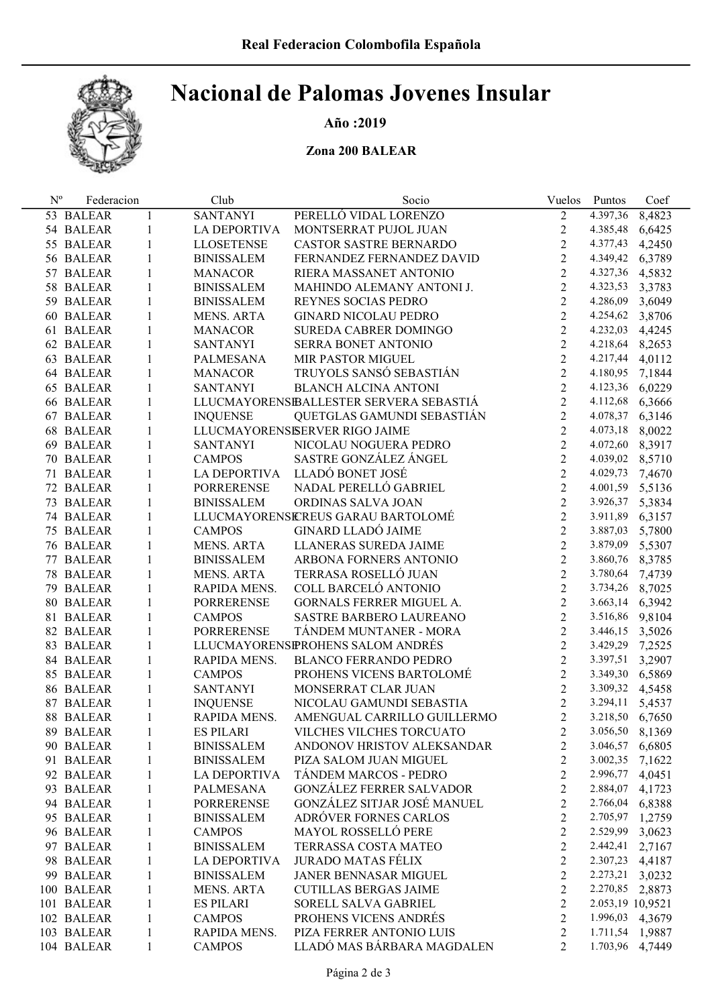# Nacional de Palomas Jovenes Insular

### Año :2019

### Zona 200 BALEAR

| $N^{\rm o}$ | Federacion |              | Club                | Socio                                  |                         | Vuelos Puntos     | Coef   |
|-------------|------------|--------------|---------------------|----------------------------------------|-------------------------|-------------------|--------|
|             | 53 BALEAR  | $\mathbf{1}$ | <b>SANTANYI</b>     | PERELLÓ VIDAL LORENZO                  | $\overline{2}$          | 4.397,36          | 8,4823 |
|             | 54 BALEAR  | $\mathbf{1}$ | LA DEPORTIVA        | MONTSERRAT PUJOL JUAN                  | $\overline{2}$          | 4.385,48          | 6,6425 |
|             | 55 BALEAR  | $\mathbf{1}$ | <b>LLOSETENSE</b>   | CASTOR SASTRE BERNARDO                 | $\overline{2}$          | 4.377,43 4,2450   |        |
|             | 56 BALEAR  | 1            | <b>BINISSALEM</b>   | FERNANDEZ FERNANDEZ DAVID              | $\overline{2}$          | 4.349,42 6,3789   |        |
|             | 57 BALEAR  | $\mathbf{1}$ | <b>MANACOR</b>      | RIERA MASSANET ANTONIO                 | $\overline{2}$          | 4.327,36 4,5832   |        |
|             | 58 BALEAR  | $\mathbf{1}$ | <b>BINISSALEM</b>   | MAHINDO ALEMANY ANTONI J.              | $\overline{2}$          | 4.323,53 3,3783   |        |
|             | 59 BALEAR  | 1            | <b>BINISSALEM</b>   | REYNES SOCIAS PEDRO                    | $\overline{2}$          | 4.286,09 3,6049   |        |
|             | 60 BALEAR  | 1            | <b>MENS. ARTA</b>   | <b>GINARD NICOLAU PEDRO</b>            | $\overline{2}$          | 4.254,62 3,8706   |        |
|             | 61 BALEAR  | $\mathbf{1}$ | <b>MANACOR</b>      | SUREDA CABRER DOMINGO                  | $\overline{2}$          | 4.232,03 4,4245   |        |
|             | 62 BALEAR  | $\mathbf{1}$ | <b>SANTANYI</b>     | SERRA BONET ANTONIO                    | $\overline{2}$          | 4.218,64 8,2653   |        |
|             | 63 BALEAR  | $\mathbf{1}$ | PALMESANA           | MIR PASTOR MIGUEL                      | $\overline{2}$          | 4.217,44 4,0112   |        |
|             | 64 BALEAR  | $\mathbf{1}$ | <b>MANACOR</b>      | TRUYOLS SANSÓ SEBASTIÁN                | $\overline{2}$          | 4.180,95 7,1844   |        |
|             | 65 BALEAR  | $\mathbf{1}$ | <b>SANTANYI</b>     | <b>BLANCH ALCINA ANTONI</b>            | $\overline{2}$          | 4.123,36 6,0229   |        |
|             | 66 BALEAR  | 1            |                     | LLUCMAYORENSEALLESTER SERVERA SEBASTIÁ | 2                       | 4.112,68 6,3666   |        |
|             | 67 BALEAR  | $\mathbf{1}$ | <b>INQUENSE</b>     | QUETGLAS GAMUNDI SEBASTIÁN             | $\overline{2}$          | 4.078,37 6,3146   |        |
|             | 68 BALEAR  | $\mathbf{1}$ |                     | LLUCMAYORENSISERVER RIGO JAIME         | $\overline{2}$          | 4.073,18 8,0022   |        |
|             | 69 BALEAR  | $\mathbf{1}$ | <b>SANTANYI</b>     | NICOLAU NOGUERA PEDRO                  | $\overline{2}$          | 4.072,60 8,3917   |        |
|             | 70 BALEAR  | $\mathbf{1}$ | <b>CAMPOS</b>       | SASTRE GONZÁLEZ ÁNGEL                  | $\overline{2}$          | 4.039,02 8,5710   |        |
|             | 71 BALEAR  | $\mathbf{1}$ | LA DEPORTIVA        | LLADÓ BONET JOSÉ                       | $\overline{2}$          | 4.029,73          | 7,4670 |
|             | 72 BALEAR  | 1            | <b>PORRERENSE</b>   | NADAL PERELLÓ GABRIEL                  | $\overline{2}$          | 4.001,59 5,5136   |        |
|             | 73 BALEAR  | 1            | <b>BINISSALEM</b>   | ORDINAS SALVA JOAN                     | $\overline{2}$          | 3.926, 37 5, 3834 |        |
|             | 74 BALEAR  | $\mathbf{1}$ |                     | LLUCMAYORENSICREUS GARAU BARTOLOMÉ     | $\overline{2}$          | 3.911,89 6,3157   |        |
|             | 75 BALEAR  | $\mathbf{1}$ | <b>CAMPOS</b>       | <b>GINARD LLADÓ JAIME</b>              | $\overline{2}$          | 3.887,03          | 5,7800 |
|             | 76 BALEAR  | 1            | MENS. ARTA          | LLANERAS SUREDA JAIME                  | $\overline{2}$          | 3.879,09          | 5,5307 |
|             | 77 BALEAR  | $\mathbf{1}$ | <b>BINISSALEM</b>   | ARBONA FORNERS ANTONIO                 | $\overline{2}$          | 3.860,76 8,3785   |        |
|             | 78 BALEAR  | $\mathbf{1}$ | MENS. ARTA          | TERRASA ROSELLÓ JUAN                   | $\overline{2}$          | 3.780,64 7,4739   |        |
|             | 79 BALEAR  | $\mathbf{1}$ | RAPIDA MENS.        | COLL BARCELÓ ANTONIO                   | 2                       | 3.734,26 8,7025   |        |
|             | 80 BALEAR  | 1            | <b>PORRERENSE</b>   | GORNALS FERRER MIGUEL A.               | $\overline{2}$          | 3.663,14 6,3942   |        |
|             | 81 BALEAR  | $\mathbf{1}$ | <b>CAMPOS</b>       | SASTRE BARBERO LAUREANO                | $\overline{2}$          | 3.516,86 9,8104   |        |
|             | 82 BALEAR  | $\mathbf{1}$ | <b>PORRERENSE</b>   | TÁNDEM MUNTANER - MORA                 | $\overline{2}$          | 3.446,15 3,5026   |        |
|             | 83 BALEAR  | $\mathbf{1}$ |                     | LLUCMAYORENSPROHENS SALOM ANDRÉS       | $\overline{2}$          | 3.429,29 7,2525   |        |
|             | 84 BALEAR  | $\mathbf{1}$ | RAPIDA MENS.        | <b>BLANCO FERRANDO PEDRO</b>           | $\overline{2}$          | 3.397,51 3,2907   |        |
|             | 85 BALEAR  | $\mathbf{1}$ | <b>CAMPOS</b>       | PROHENS VICENS BARTOLOMÉ               | $\overline{2}$          | 3.349,30 6,5869   |        |
|             | 86 BALEAR  | 1            | <b>SANTANYI</b>     | MONSERRAT CLAR JUAN                    | $\overline{2}$          | 3.309,32 4,5458   |        |
|             | 87 BALEAR  | $\mathbf{1}$ | <b>INQUENSE</b>     | NICOLAU GAMUNDI SEBASTIA               | $\overline{2}$          | 3.294,11          | 5,4537 |
|             | 88 BALEAR  | 1            | RAPIDA MENS.        | AMENGUAL CARRILLO GUILLERMO            | 2                       | 3.218,50 6,7650   |        |
|             | 89 BALEAR  | 1            | <b>ES PILARI</b>    | VILCHES VILCHES TORCUATO               | 2                       | 3.056,50          | 8,1369 |
|             | 90 BALEAR  | 1            | <b>BINISSALEM</b>   | ANDONOV HRISTOV ALEKSANDAR             | 2                       | 3.046,57          | 6,6805 |
|             | 91 BALEAR  | 1            | <b>BINISSALEM</b>   | PIZA SALOM JUAN MIGUEL                 | $\overline{c}$          | 3.002,35          | 7,1622 |
|             | 92 BALEAR  | 1            | <b>LA DEPORTIVA</b> | TÁNDEM MARCOS - PEDRO                  | $\overline{c}$          | 2.996,77          | 4,0451 |
|             | 93 BALEAR  | $\mathbf{1}$ | PALMESANA           | <b>GONZÁLEZ FERRER SALVADOR</b>        | $\overline{\mathbf{c}}$ | 2.884,07          | 4,1723 |
|             | 94 BALEAR  | $\mathbf{1}$ | <b>PORRERENSE</b>   | GONZÁLEZ SITJAR JOSÉ MANUEL            | $\overline{c}$          | 2.766,04          | 6,8388 |
|             | 95 BALEAR  | $\mathbf{1}$ | <b>BINISSALEM</b>   | ADRÓVER FORNES CARLOS                  | $\overline{2}$          | 2.705,97          | 1,2759 |
|             | 96 BALEAR  | $\mathbf{1}$ | <b>CAMPOS</b>       | <b>MAYOL ROSSELLÓ PERE</b>             | $\overline{\mathbf{c}}$ | 2.529,99          | 3,0623 |
|             | 97 BALEAR  | $\mathbf{1}$ | <b>BINISSALEM</b>   | TERRASSA COSTA MATEO                   | $\overline{c}$          | 2.442,41          | 2,7167 |
|             | 98 BALEAR  | $\mathbf{1}$ | <b>LA DEPORTIVA</b> | <b>JURADO MATAS FÉLIX</b>              | $\overline{c}$          | 2.307,23          | 4,4187 |
|             | 99 BALEAR  | $\mathbf{1}$ | <b>BINISSALEM</b>   | JANER BENNASAR MIGUEL                  | $\overline{c}$          | 2.273,21          | 3,0232 |
|             | 100 BALEAR | $\mathbf{1}$ | <b>MENS. ARTA</b>   | <b>CUTILLAS BERGAS JAIME</b>           | $\overline{c}$          | 2.270,85          | 2,8873 |
|             | 101 BALEAR | $\mathbf{1}$ | <b>ES PILARI</b>    | SORELL SALVA GABRIEL                   | $\overline{c}$          | 2.053,19 10,9521  |        |
|             | 102 BALEAR | $\mathbf{1}$ | <b>CAMPOS</b>       | PROHENS VICENS ANDRÉS                  | $\overline{c}$          | 1.996,03          | 4,3679 |
|             | 103 BALEAR | 1            | RAPIDA MENS.        | PIZA FERRER ANTONIO LUIS               | $\overline{c}$          | 1.711,54          | 1,9887 |
|             | 104 BALEAR | $\mathbf{1}$ | <b>CAMPOS</b>       | LLADÓ MAS BÁRBARA MAGDALEN             | 2                       | 1.703,96          | 4,7449 |